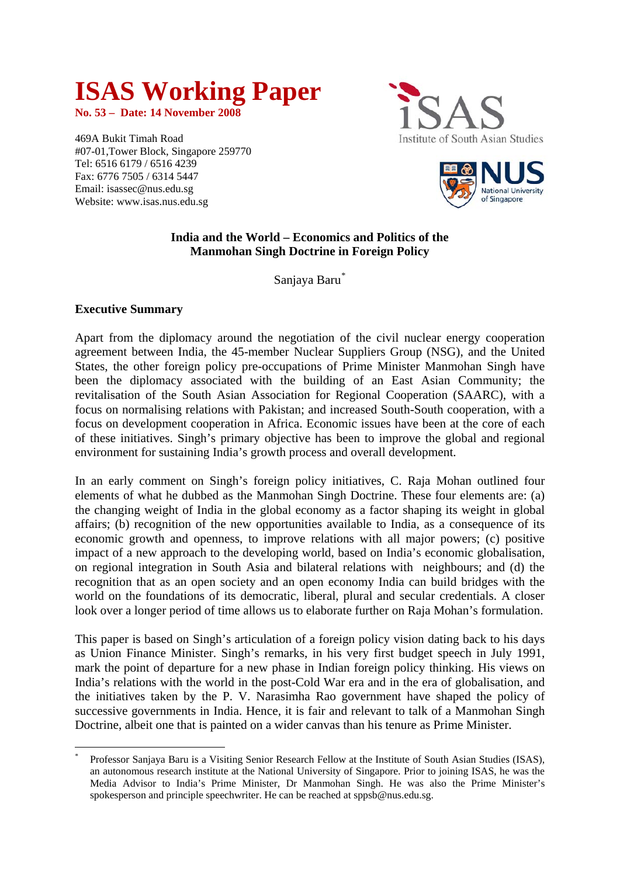# **ISAS Working Paper**

**No. 53 – Date: 14 November 2008** 

469A Bukit Timah Road #07-01,Tower Block, Singapore 259770 Tel: 6516 6179 / 6516 4239 Fax: 6776 7505 / 6314 5447 Email: isassec@nus.edu.sg Website: www.isas.nus.edu.sg





## **India and the World – Economics and Politics of the Manmohan Singh Doctrine in Foreign Policy**

Sanjaya Baru[\\*](#page-0-0)

## **Executive Summary**

<u>.</u>

Apart from the diplomacy around the negotiation of the civil nuclear energy cooperation agreement between India, the 45-member Nuclear Suppliers Group (NSG), and the United States, the other foreign policy pre-occupations of Prime Minister Manmohan Singh have been the diplomacy associated with the building of an East Asian Community; the revitalisation of the South Asian Association for Regional Cooperation (SAARC), with a focus on normalising relations with Pakistan; and increased South-South cooperation, with a focus on development cooperation in Africa. Economic issues have been at the core of each of these initiatives. Singh's primary objective has been to improve the global and regional environment for sustaining India's growth process and overall development.

In an early comment on Singh's foreign policy initiatives, C. Raja Mohan outlined four elements of what he dubbed as the Manmohan Singh Doctrine. These four elements are: (a) the changing weight of India in the global economy as a factor shaping its weight in global affairs; (b) recognition of the new opportunities available to India, as a consequence of its economic growth and openness, to improve relations with all major powers; (c) positive impact of a new approach to the developing world, based on India's economic globalisation, on regional integration in South Asia and bilateral relations with neighbours; and (d) the recognition that as an open society and an open economy India can build bridges with the world on the foundations of its democratic, liberal, plural and secular credentials. A closer look over a longer period of time allows us to elaborate further on Raja Mohan's formulation.

This paper is based on Singh's articulation of a foreign policy vision dating back to his days as Union Finance Minister. Singh's remarks, in his very first budget speech in July 1991, mark the point of departure for a new phase in Indian foreign policy thinking. His views on India's relations with the world in the post-Cold War era and in the era of globalisation, and the initiatives taken by the P. V. Narasimha Rao government have shaped the policy of successive governments in India. Hence, it is fair and relevant to talk of a Manmohan Singh Doctrine, albeit one that is painted on a wider canvas than his tenure as Prime Minister.

<span id="page-0-0"></span><sup>\*</sup> Professor Sanjaya Baru is a Visiting Senior Research Fellow at the Institute of South Asian Studies (ISAS), an autonomous research institute at the National University of Singapore. Prior to joining ISAS, he was the Media Advisor to India's Prime Minister, Dr Manmohan Singh. He was also the Prime Minister's spokesperson and principle speechwriter. He can be reached at sppsb@nus.edu.sg.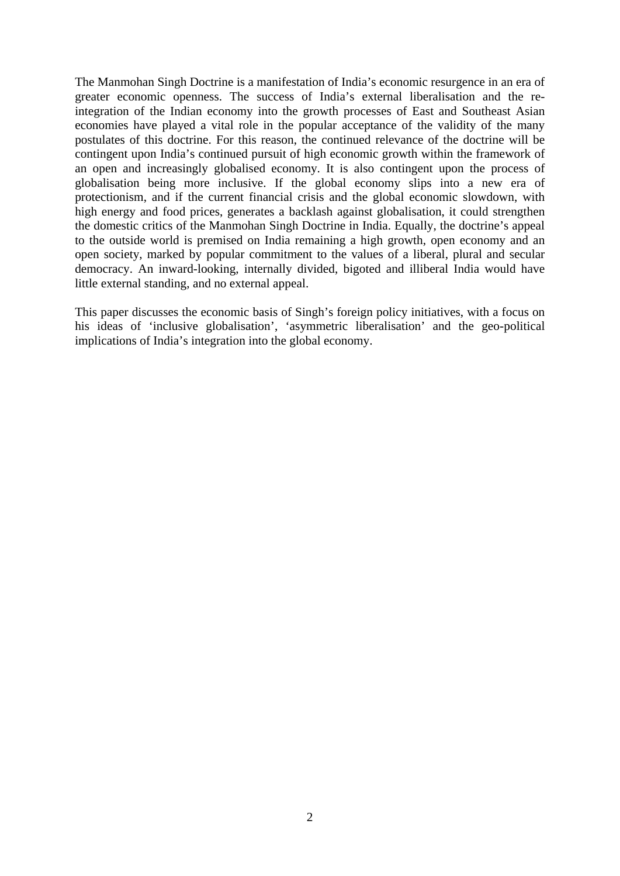The Manmohan Singh Doctrine is a manifestation of India's economic resurgence in an era of greater economic openness. The success of India's external liberalisation and the reintegration of the Indian economy into the growth processes of East and Southeast Asian economies have played a vital role in the popular acceptance of the validity of the many postulates of this doctrine. For this reason, the continued relevance of the doctrine will be contingent upon India's continued pursuit of high economic growth within the framework of an open and increasingly globalised economy. It is also contingent upon the process of globalisation being more inclusive. If the global economy slips into a new era of protectionism, and if the current financial crisis and the global economic slowdown, with high energy and food prices, generates a backlash against globalisation, it could strengthen the domestic critics of the Manmohan Singh Doctrine in India. Equally, the doctrine's appeal to the outside world is premised on India remaining a high growth, open economy and an open society, marked by popular commitment to the values of a liberal, plural and secular democracy. An inward-looking, internally divided, bigoted and illiberal India would have little external standing, and no external appeal.

This paper discusses the economic basis of Singh's foreign policy initiatives, with a focus on his ideas of 'inclusive globalisation', 'asymmetric liberalisation' and the geo-political implications of India's integration into the global economy.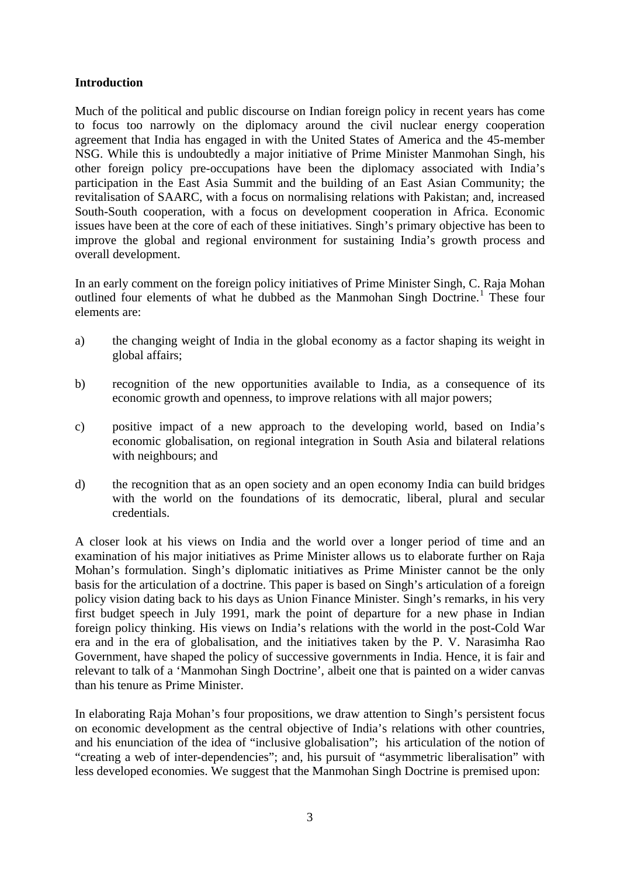## **Introduction**

Much of the political and public discourse on Indian foreign policy in recent years has come to focus too narrowly on the diplomacy around the civil nuclear energy cooperation agreement that India has engaged in with the United States of America and the 45-member NSG. While this is undoubtedly a major initiative of Prime Minister Manmohan Singh, his other foreign policy pre-occupations have been the diplomacy associated with India's participation in the East Asia Summit and the building of an East Asian Community; the revitalisation of SAARC, with a focus on normalising relations with Pakistan; and, increased South-South cooperation, with a focus on development cooperation in Africa. Economic issues have been at the core of each of these initiatives. Singh's primary objective has been to improve the global and regional environment for sustaining India's growth process and overall development.

In an early comment on the foreign policy initiatives of Prime Minister Singh, C. Raja Mohan outlined four elements of what he dubbed as the Manmohan Singh Doctrine.<sup>[1](#page-0-0)</sup> These four elements are:

- a) the changing weight of India in the global economy as a factor shaping its weight in global affairs;
- b) recognition of the new opportunities available to India, as a consequence of its economic growth and openness, to improve relations with all major powers;
- c) positive impact of a new approach to the developing world, based on India's economic globalisation, on regional integration in South Asia and bilateral relations with neighbours; and
- d) the recognition that as an open society and an open economy India can build bridges with the world on the foundations of its democratic, liberal, plural and secular credentials.

A closer look at his views on India and the world over a longer period of time and an examination of his major initiatives as Prime Minister allows us to elaborate further on Raja Mohan's formulation. Singh's diplomatic initiatives as Prime Minister cannot be the only basis for the articulation of a doctrine. This paper is based on Singh's articulation of a foreign policy vision dating back to his days as Union Finance Minister. Singh's remarks, in his very first budget speech in July 1991, mark the point of departure for a new phase in Indian foreign policy thinking. His views on India's relations with the world in the post-Cold War era and in the era of globalisation, and the initiatives taken by the P. V. Narasimha Rao Government, have shaped the policy of successive governments in India. Hence, it is fair and relevant to talk of a 'Manmohan Singh Doctrine', albeit one that is painted on a wider canvas than his tenure as Prime Minister.

In elaborating Raja Mohan's four propositions, we draw attention to Singh's persistent focus on economic development as the central objective of India's relations with other countries, and his enunciation of the idea of "inclusive globalisation"; his articulation of the notion of "creating a web of inter-dependencies"; and, his pursuit of "asymmetric liberalisation" with less developed economies. We suggest that the Manmohan Singh Doctrine is premised upon: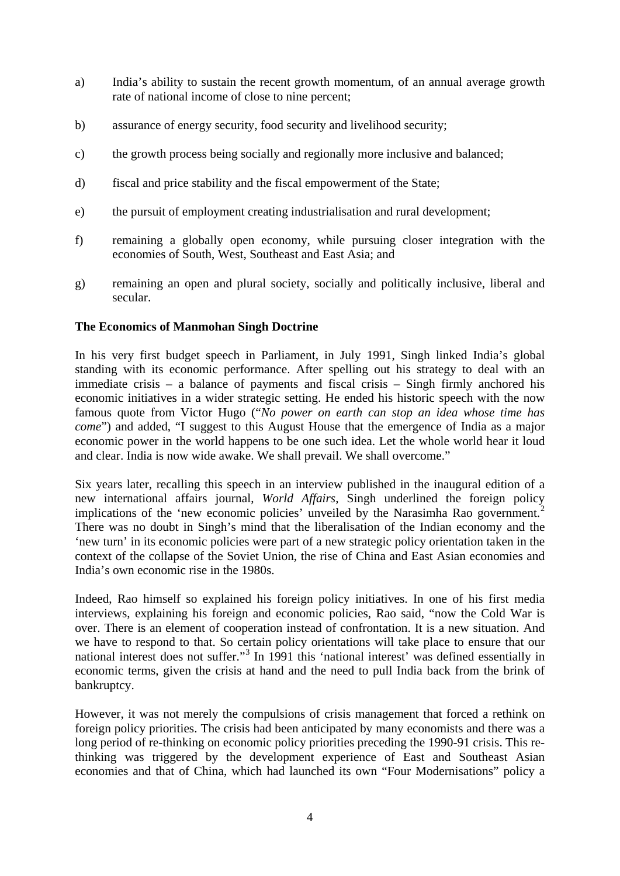- a) India's ability to sustain the recent growth momentum, of an annual average growth rate of national income of close to nine percent;
- b) assurance of energy security, food security and livelihood security;
- c) the growth process being socially and regionally more inclusive and balanced;
- d) fiscal and price stability and the fiscal empowerment of the State;
- e) the pursuit of employment creating industrialisation and rural development;
- f) remaining a globally open economy, while pursuing closer integration with the economies of South, West, Southeast and East Asia; and
- g) remaining an open and plural society, socially and politically inclusive, liberal and secular.

#### **The Economics of Manmohan Singh Doctrine**

In his very first budget speech in Parliament, in July 1991, Singh linked India's global standing with its economic performance. After spelling out his strategy to deal with an immediate crisis – a balance of payments and fiscal crisis – Singh firmly anchored his economic initiatives in a wider strategic setting. He ended his historic speech with the now famous quote from Victor Hugo ("*No power on earth can stop an idea whose time has come*") and added, "I suggest to this August House that the emergence of India as a major economic power in the world happens to be one such idea. Let the whole world hear it loud and clear. India is now wide awake. We shall prevail. We shall overcome."

Six years later, recalling this speech in an interview published in the inaugural edition of a new international affairs journal, *World Affairs*, Singh underlined the foreign policy implications of the 'new economic policies' unveiled by the Narasimha Rao government.<sup>[2](#page-23-0)</sup> There was no doubt in Singh's mind that the liberalisation of the Indian economy and the 'new turn' in its economic policies were part of a new strategic policy orientation taken in the context of the collapse of the Soviet Union, the rise of China and East Asian economies and India's own economic rise in the 1980s.

Indeed, Rao himself so explained his foreign policy initiatives. In one of his first media interviews, explaining his foreign and economic policies, Rao said, "now the Cold War is over. There is an element of cooperation instead of confrontation. It is a new situation. And we have to respond to that. So certain policy orientations will take place to ensure that our national interest does not suffer."<sup>[3](#page-23-1)</sup> In 1991 this 'national interest' was defined essentially in economic terms, given the crisis at hand and the need to pull India back from the brink of bankruptcy.

However, it was not merely the compulsions of crisis management that forced a rethink on foreign policy priorities. The crisis had been anticipated by many economists and there was a long period of re-thinking on economic policy priorities preceding the 1990-91 crisis. This rethinking was triggered by the development experience of East and Southeast Asian economies and that of China, which had launched its own "Four Modernisations" policy a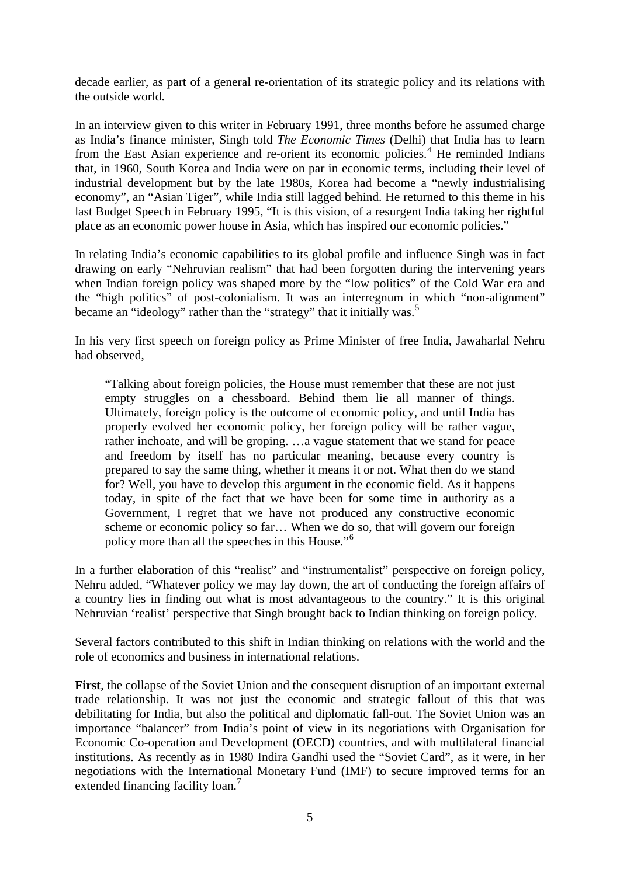decade earlier, as part of a general re-orientation of its strategic policy and its relations with the outside world.

In an interview given to this writer in February 1991, three months before he assumed charge as India's finance minister, Singh told *The Economic Times* (Delhi) that India has to learn from the East Asian experience and re-orient its economic policies.<sup>[4](#page-23-1)</sup> He reminded Indians that, in 1960, South Korea and India were on par in economic terms, including their level of industrial development but by the late 1980s, Korea had become a "newly industrialising economy", an "Asian Tiger", while India still lagged behind. He returned to this theme in his last Budget Speech in February 1995, "It is this vision, of a resurgent India taking her rightful place as an economic power house in Asia, which has inspired our economic policies."

In relating India's economic capabilities to its global profile and influence Singh was in fact drawing on early "Nehruvian realism" that had been forgotten during the intervening years when Indian foreign policy was shaped more by the "low politics" of the Cold War era and the "high politics" of post-colonialism. It was an interregnum in which "non-alignment" became an "ideology" rather than the "strategy" that it initially was.<sup>[5](#page-23-1)</sup>

In his very first speech on foreign policy as Prime Minister of free India, Jawaharlal Nehru had observed,

"Talking about foreign policies, the House must remember that these are not just empty struggles on a chessboard. Behind them lie all manner of things. Ultimately, foreign policy is the outcome of economic policy, and until India has properly evolved her economic policy, her foreign policy will be rather vague, rather inchoate, and will be groping. …a vague statement that we stand for peace and freedom by itself has no particular meaning, because every country is prepared to say the same thing, whether it means it or not. What then do we stand for? Well, you have to develop this argument in the economic field. As it happens today, in spite of the fact that we have been for some time in authority as a Government, I regret that we have not produced any constructive economic scheme or economic policy so far… When we do so, that will govern our foreign policy more than all the speeches in this House."[6](#page-23-1)

In a further elaboration of this "realist" and "instrumentalist" perspective on foreign policy, Nehru added, "Whatever policy we may lay down, the art of conducting the foreign affairs of a country lies in finding out what is most advantageous to the country." It is this original Nehruvian 'realist' perspective that Singh brought back to Indian thinking on foreign policy.

Several factors contributed to this shift in Indian thinking on relations with the world and the role of economics and business in international relations.

**First**, the collapse of the Soviet Union and the consequent disruption of an important external trade relationship. It was not just the economic and strategic fallout of this that was debilitating for India, but also the political and diplomatic fall-out. The Soviet Union was an importance "balancer" from India's point of view in its negotiations with Organisation for Economic Co-operation and Development (OECD) countries, and with multilateral financial institutions. As recently as in 1980 Indira Gandhi used the "Soviet Card", as it were, in her negotiations with the International Monetary Fund (IMF) to secure improved terms for an extended financing facility loan.<sup>[7](#page-23-1)</sup>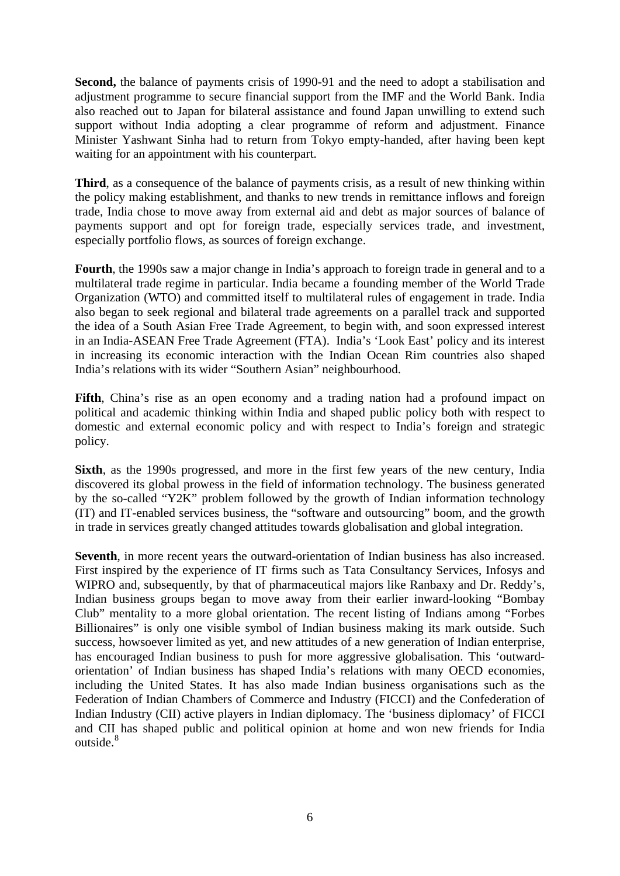Second, the balance of payments crisis of 1990-91 and the need to adopt a stabilisation and adjustment programme to secure financial support from the IMF and the World Bank. India also reached out to Japan for bilateral assistance and found Japan unwilling to extend such support without India adopting a clear programme of reform and adjustment. Finance Minister Yashwant Sinha had to return from Tokyo empty-handed, after having been kept waiting for an appointment with his counterpart.

**Third**, as a consequence of the balance of payments crisis, as a result of new thinking within the policy making establishment, and thanks to new trends in remittance inflows and foreign trade, India chose to move away from external aid and debt as major sources of balance of payments support and opt for foreign trade, especially services trade, and investment, especially portfolio flows, as sources of foreign exchange.

**Fourth**, the 1990s saw a major change in India's approach to foreign trade in general and to a multilateral trade regime in particular. India became a founding member of the World Trade Organization (WTO) and committed itself to multilateral rules of engagement in trade. India also began to seek regional and bilateral trade agreements on a parallel track and supported the idea of a South Asian Free Trade Agreement, to begin with, and soon expressed interest in an India-ASEAN Free Trade Agreement (FTA). India's 'Look East' policy and its interest in increasing its economic interaction with the Indian Ocean Rim countries also shaped India's relations with its wider "Southern Asian" neighbourhood.

**Fifth**, China's rise as an open economy and a trading nation had a profound impact on political and academic thinking within India and shaped public policy both with respect to domestic and external economic policy and with respect to India's foreign and strategic policy.

**Sixth**, as the 1990s progressed, and more in the first few years of the new century, India discovered its global prowess in the field of information technology. The business generated by the so-called "Y2K" problem followed by the growth of Indian information technology (IT) and IT-enabled services business, the "software and outsourcing" boom, and the growth in trade in services greatly changed attitudes towards globalisation and global integration.

**Seventh**, in more recent years the outward-orientation of Indian business has also increased. First inspired by the experience of IT firms such as Tata Consultancy Services, Infosys and WIPRO and, subsequently, by that of pharmaceutical majors like Ranbaxy and Dr. Reddy's, Indian business groups began to move away from their earlier inward-looking "Bombay Club" mentality to a more global orientation. The recent listing of Indians among "Forbes Billionaires" is only one visible symbol of Indian business making its mark outside. Such success, howsoever limited as yet, and new attitudes of a new generation of Indian enterprise, has encouraged Indian business to push for more aggressive globalisation. This 'outwardorientation' of Indian business has shaped India's relations with many OECD economies, including the United States. It has also made Indian business organisations such as the Federation of Indian Chambers of Commerce and Industry (FICCI) and the Confederation of Indian Industry (CII) active players in Indian diplomacy. The 'business diplomacy' of FICCI and CII has shaped public and political opinion at home and won new friends for India outside.<sup>[8](#page-23-1)</sup>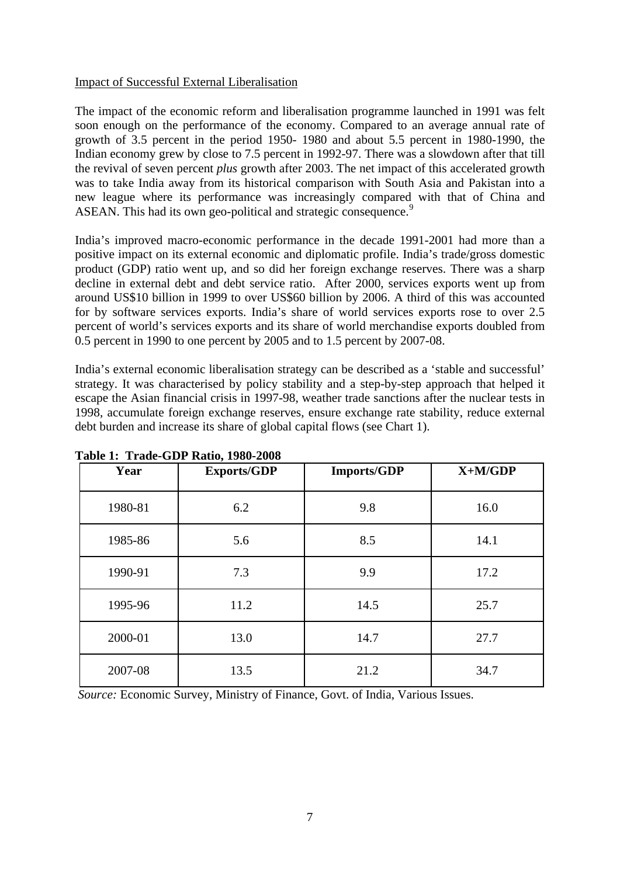#### Impact of Successful External Liberalisation

The impact of the economic reform and liberalisation programme launched in 1991 was felt soon enough on the performance of the economy. Compared to an average annual rate of growth of 3.5 percent in the period 1950- 1980 and about 5.5 percent in 1980-1990, the Indian economy grew by close to 7.5 percent in 1992-97. There was a slowdown after that till the revival of seven percent *plus* growth after 2003. The net impact of this accelerated growth was to take India away from its historical comparison with South Asia and Pakistan into a new league where its performance was increasingly compared with that of China and ASEAN. This had its own geo-political and strategic consequence.<sup>[9](#page-23-1)</sup>

India's improved macro-economic performance in the decade 1991-2001 had more than a positive impact on its external economic and diplomatic profile. India's trade/gross domestic product (GDP) ratio went up, and so did her foreign exchange reserves. There was a sharp decline in external debt and debt service ratio. After 2000, services exports went up from around US\$10 billion in 1999 to over US\$60 billion by 2006. A third of this was accounted for by software services exports. India's share of world services exports rose to over 2.5 percent of world's services exports and its share of world merchandise exports doubled from 0.5 percent in 1990 to one percent by 2005 and to 1.5 percent by 2007-08.

India's external economic liberalisation strategy can be described as a 'stable and successful' strategy. It was characterised by policy stability and a step-by-step approach that helped it escape the Asian financial crisis in 1997-98, weather trade sanctions after the nuclear tests in 1998, accumulate foreign exchange reserves, ensure exchange rate stability, reduce external debt burden and increase its share of global capital flows (see Chart 1).

| Year    | <b>Exports/GDP</b> | <b>Imports/GDP</b> | $X+M/GDP$ |  |
|---------|--------------------|--------------------|-----------|--|
| 1980-81 | 6.2                | 9.8                | 16.0      |  |
| 1985-86 | 5.6                | 8.5                | 14.1      |  |
| 1990-91 | 7.3                | 9.9                | 17.2      |  |
| 1995-96 | 11.2               | 14.5               | 25.7      |  |
| 2000-01 | 13.0               | 14.7               | 27.7      |  |
| 2007-08 | 13.5               | 21.2               | 34.7      |  |

**Table 1: Trade-GDP Ratio, 1980-2008** 

*Source:* Economic Survey, Ministry of Finance, Govt. of India, Various Issues.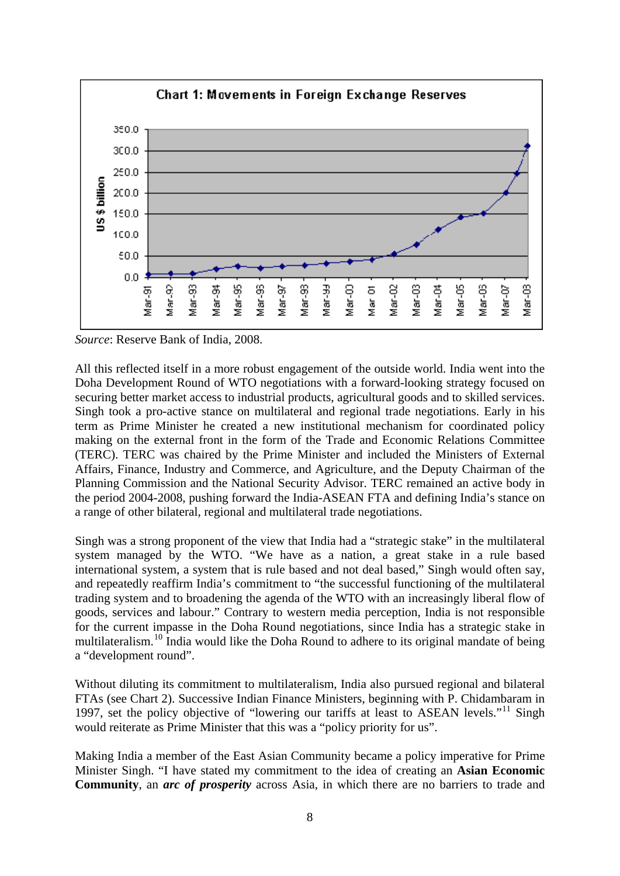

*Source*: Reserve Bank of India, 2008.

All this reflected itself in a more robust engagement of the outside world. India went into the Doha Development Round of WTO negotiations with a forward-looking strategy focused on securing better market access to industrial products, agricultural goods and to skilled services. Singh took a pro-active stance on multilateral and regional trade negotiations. Early in his term as Prime Minister he created a new institutional mechanism for coordinated policy making on the external front in the form of the Trade and Economic Relations Committee (TERC). TERC was chaired by the Prime Minister and included the Ministers of External Affairs, Finance, Industry and Commerce, and Agriculture, and the Deputy Chairman of the Planning Commission and the National Security Advisor. TERC remained an active body in the period 2004-2008, pushing forward the India-ASEAN FTA and defining India's stance on a range of other bilateral, regional and multilateral trade negotiations.

Singh was a strong proponent of the view that India had a "strategic stake" in the multilateral system managed by the WTO. "We have as a nation, a great stake in a rule based international system, a system that is rule based and not deal based," Singh would often say, and repeatedly reaffirm India's commitment to "the successful functioning of the multilateral trading system and to broadening the agenda of the WTO with an increasingly liberal flow of goods, services and labour." Contrary to western media perception, India is not responsible for the current impasse in the Doha Round negotiations, since India has a strategic stake in multilateralism.<sup>[10](#page-23-1)</sup> India would like the Doha Round to adhere to its original mandate of being a "development round".

Without diluting its commitment to multilateralism, India also pursued regional and bilateral FTAs (see Chart 2). Successive Indian Finance Ministers, beginning with P. Chidambaram in 1997, set the policy objective of "lowering our tariffs at least to ASEAN levels."<sup>11</sup> Singh would reiterate as Prime Minister that this was a "policy priority for us".

Making India a member of the East Asian Community became a policy imperative for Prime Minister Singh. "I have stated my commitment to the idea of creating an **Asian Economic Community**, an *arc of prosperity* across Asia, in which there are no barriers to trade and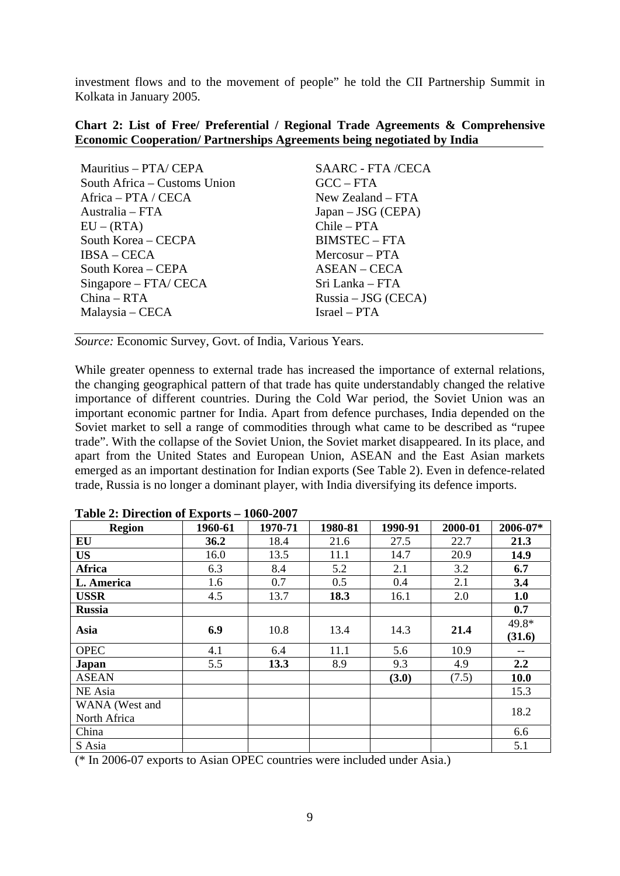investment flows and to the movement of people" he told the CII Partnership Summit in Kolkata in January 2005.

#### **Chart 2: List of Free/ Preferential / Regional Trade Agreements & Comprehensive Economic Cooperation/ Partnerships Agreements being negotiated by India**

| Mauritius - PTA/ CEPA        | SAARC - FTA /CECA     |
|------------------------------|-----------------------|
| South Africa – Customs Union | $GCC - FTA$           |
| Africa – PTA / CECA          | New Zealand $-$ FTA   |
| Australia – FTA              | $Japan - JSG (CEPA)$  |
| $EU - (RTA)$                 | $Chile - PTA$         |
| South Korea - CECPA          | <b>BIMSTEC - FTA</b>  |
| $IBSA - CECA$                | $Mercosur - PTA$      |
| South Korea – CEPA           | <b>ASEAN – CECA</b>   |
| $Singapore - FTA/CECA$       | Sri Lanka – FTA       |
| $China - RTA$                | $Russia - JSG (CECA)$ |
| Malaysia – CECA              | Israel – PTA          |

*Source:* Economic Survey, Govt. of India, Various Years.

While greater openness to external trade has increased the importance of external relations, the changing geographical pattern of that trade has quite understandably changed the relative importance of different countries. During the Cold War period, the Soviet Union was an important economic partner for India. Apart from defence purchases, India depended on the Soviet market to sell a range of commodities through what came to be described as "rupee trade". With the collapse of the Soviet Union, the Soviet market disappeared. In its place, and apart from the United States and European Union, ASEAN and the East Asian markets emerged as an important destination for Indian exports (See Table 2). Even in defence-related trade, Russia is no longer a dominant player, with India diversifying its defence imports.

| <b>Region</b>  | 1960-61 | 1970-71 | 1980-81 | 1990-91 | 2000-01 | 2006-07* |
|----------------|---------|---------|---------|---------|---------|----------|
| EU             | 36.2    | 18.4    | 21.6    | 27.5    | 22.7    | 21.3     |
| <b>US</b>      | 16.0    | 13.5    | 11.1    | 14.7    | 20.9    | 14.9     |
| Africa         | 6.3     | 8.4     | 5.2     | 2.1     | 3.2     | 6.7      |
| L. America     | 1.6     | 0.7     | 0.5     | 0.4     | 2.1     | 3.4      |
| <b>USSR</b>    | 4.5     | 13.7    | 18.3    | 16.1    | 2.0     | 1.0      |
| <b>Russia</b>  |         |         |         |         |         | 0.7      |
| Asia           | 6.9     | 10.8    | 13.4    | 14.3    | 21.4    | 49.8*    |
|                |         |         |         |         |         | (31.6)   |
| <b>OPEC</b>    | 4.1     | 6.4     | 11.1    | 5.6     | 10.9    | --       |
| Japan          | 5.5     | 13.3    | 8.9     | 9.3     | 4.9     | 2.2      |
| <b>ASEAN</b>   |         |         |         | (3.0)   | (7.5)   | 10.0     |
| NE Asia        |         |         |         |         |         | 15.3     |
| WANA (West and |         |         |         |         |         | 18.2     |
| North Africa   |         |         |         |         |         |          |
| China          |         |         |         |         |         | 6.6      |
| S Asia         |         |         |         |         |         | 5.1      |

**Table 2: Direction of Exports – 1060-2007** 

(\* In 2006-07 exports to Asian OPEC countries were included under Asia.)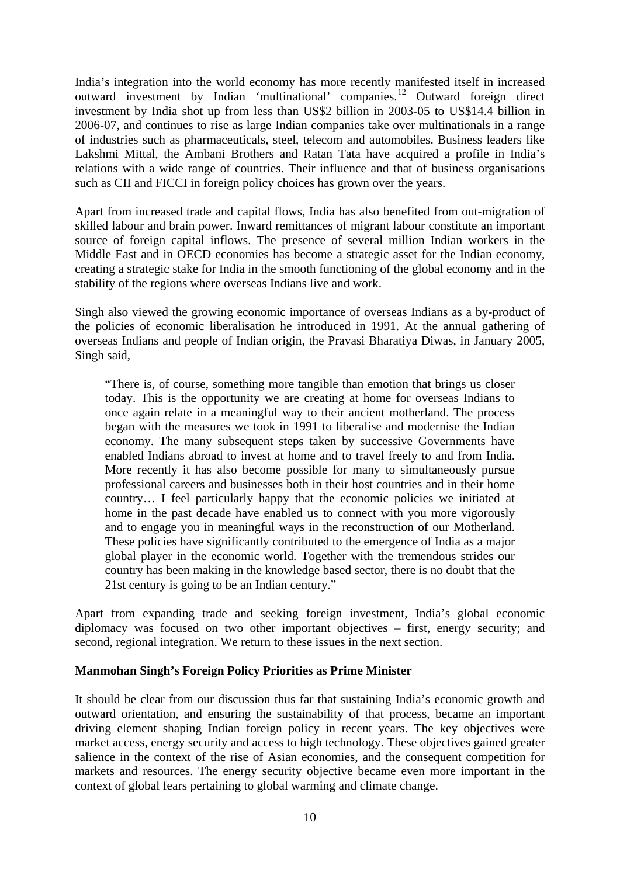India's integration into the world economy has more recently manifested itself in increased outward investment by Indian 'multinational' companies.[12](#page-23-1) Outward foreign direct investment by India shot up from less than US\$2 billion in 2003-05 to US\$14.4 billion in 2006-07, and continues to rise as large Indian companies take over multinationals in a range of industries such as pharmaceuticals, steel, telecom and automobiles. Business leaders like Lakshmi Mittal, the Ambani Brothers and Ratan Tata have acquired a profile in India's relations with a wide range of countries. Their influence and that of business organisations such as CII and FICCI in foreign policy choices has grown over the years.

Apart from increased trade and capital flows, India has also benefited from out-migration of skilled labour and brain power. Inward remittances of migrant labour constitute an important source of foreign capital inflows. The presence of several million Indian workers in the Middle East and in OECD economies has become a strategic asset for the Indian economy, creating a strategic stake for India in the smooth functioning of the global economy and in the stability of the regions where overseas Indians live and work.

Singh also viewed the growing economic importance of overseas Indians as a by-product of the policies of economic liberalisation he introduced in 1991. At the annual gathering of overseas Indians and people of Indian origin, the Pravasi Bharatiya Diwas, in January 2005, Singh said,

"There is, of course, something more tangible than emotion that brings us closer today. This is the opportunity we are creating at home for overseas Indians to once again relate in a meaningful way to their ancient motherland. The process began with the measures we took in 1991 to liberalise and modernise the Indian economy. The many subsequent steps taken by successive Governments have enabled Indians abroad to invest at home and to travel freely to and from India. More recently it has also become possible for many to simultaneously pursue professional careers and businesses both in their host countries and in their home country… I feel particularly happy that the economic policies we initiated at home in the past decade have enabled us to connect with you more vigorously and to engage you in meaningful ways in the reconstruction of our Motherland. These policies have significantly contributed to the emergence of India as a major global player in the economic world. Together with the tremendous strides our country has been making in the knowledge based sector, there is no doubt that the 21st century is going to be an Indian century."

Apart from expanding trade and seeking foreign investment, India's global economic diplomacy was focused on two other important objectives – first, energy security; and second, regional integration. We return to these issues in the next section.

#### **Manmohan Singh's Foreign Policy Priorities as Prime Minister**

It should be clear from our discussion thus far that sustaining India's economic growth and outward orientation, and ensuring the sustainability of that process, became an important driving element shaping Indian foreign policy in recent years. The key objectives were market access, energy security and access to high technology. These objectives gained greater salience in the context of the rise of Asian economies, and the consequent competition for markets and resources. The energy security objective became even more important in the context of global fears pertaining to global warming and climate change.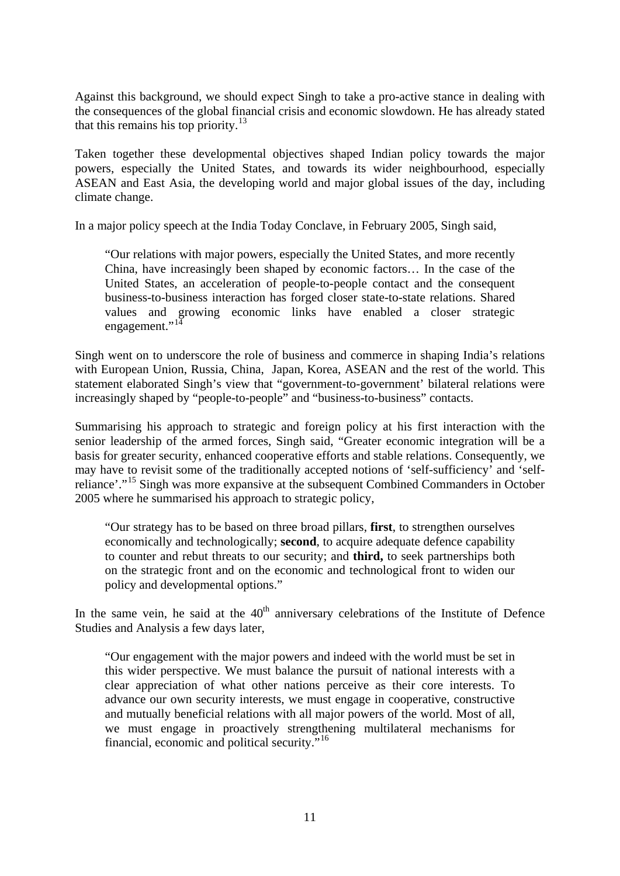Against this background, we should expect Singh to take a pro-active stance in dealing with the consequences of the global financial crisis and economic slowdown. He has already stated that this remains his top priority.<sup>[13](#page-23-1)</sup>

Taken together these developmental objectives shaped Indian policy towards the major powers, especially the United States, and towards its wider neighbourhood, especially ASEAN and East Asia, the developing world and major global issues of the day, including climate change.

In a major policy speech at the India Today Conclave, in February 2005, Singh said,

"Our relations with major powers, especially the United States, and more recently China, have increasingly been shaped by economic factors… In the case of the United States, an acceleration of people-to-people contact and the consequent business-to-business interaction has forged closer state-to-state relations. Shared values and growing economic links have enabled a closer strategic engagement."<sup>[14](#page-23-1)</sup>

Singh went on to underscore the role of business and commerce in shaping India's relations with European Union, Russia, China, Japan, Korea, ASEAN and the rest of the world. This statement elaborated Singh's view that "government-to-government' bilateral relations were increasingly shaped by "people-to-people" and "business-to-business" contacts.

Summarising his approach to strategic and foreign policy at his first interaction with the senior leadership of the armed forces, Singh said, "Greater economic integration will be a basis for greater security, enhanced cooperative efforts and stable relations. Consequently, we may have to revisit some of the traditionally accepted notions of 'self-sufficiency' and 'selfreliance'."[15](#page-23-1) Singh was more expansive at the subsequent Combined Commanders in October 2005 where he summarised his approach to strategic policy,

"Our strategy has to be based on three broad pillars, **first**, to strengthen ourselves economically and technologically; **second**, to acquire adequate defence capability to counter and rebut threats to our security; and **third,** to seek partnerships both on the strategic front and on the economic and technological front to widen our policy and developmental options."

In the same vein, he said at the  $40<sup>th</sup>$  anniversary celebrations of the Institute of Defence Studies and Analysis a few days later,

"Our engagement with the major powers and indeed with the world must be set in this wider perspective. We must balance the pursuit of national interests with a clear appreciation of what other nations perceive as their core interests. To advance our own security interests, we must engage in cooperative, constructive and mutually beneficial relations with all major powers of the world. Most of all, we must engage in proactively strengthening multilateral mechanisms for financial, economic and political security."[16](#page-23-1)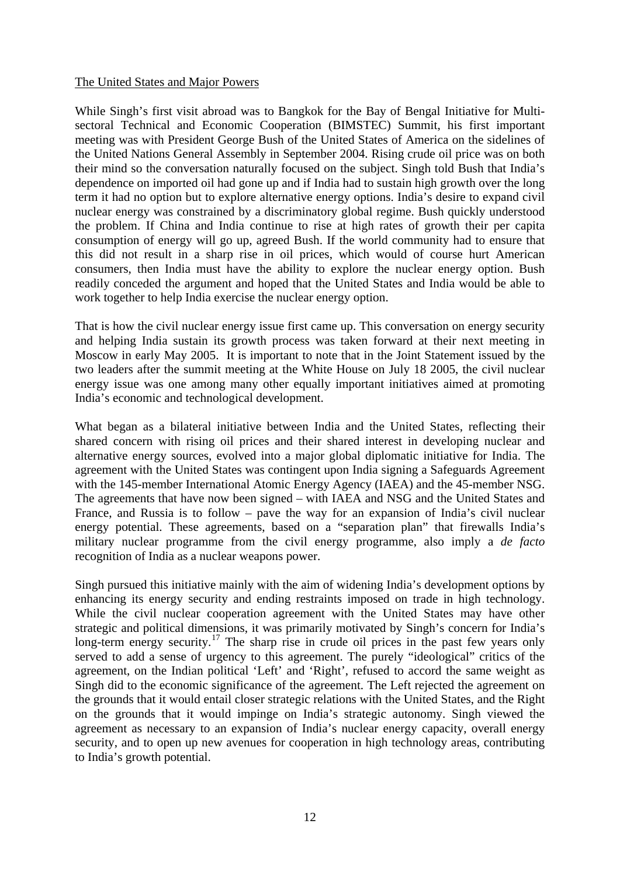#### The United States and Major Powers

While Singh's first visit abroad was to Bangkok for the Bay of Bengal Initiative for Multisectoral Technical and Economic Cooperation (BIMSTEC) Summit, his first important meeting was with President George Bush of the United States of America on the sidelines of the United Nations General Assembly in September 2004. Rising crude oil price was on both their mind so the conversation naturally focused on the subject. Singh told Bush that India's dependence on imported oil had gone up and if India had to sustain high growth over the long term it had no option but to explore alternative energy options. India's desire to expand civil nuclear energy was constrained by a discriminatory global regime. Bush quickly understood the problem. If China and India continue to rise at high rates of growth their per capita consumption of energy will go up, agreed Bush. If the world community had to ensure that this did not result in a sharp rise in oil prices, which would of course hurt American consumers, then India must have the ability to explore the nuclear energy option. Bush readily conceded the argument and hoped that the United States and India would be able to work together to help India exercise the nuclear energy option.

That is how the civil nuclear energy issue first came up. This conversation on energy security and helping India sustain its growth process was taken forward at their next meeting in Moscow in early May 2005. It is important to note that in the Joint Statement issued by the two leaders after the summit meeting at the White House on July 18 2005, the civil nuclear energy issue was one among many other equally important initiatives aimed at promoting India's economic and technological development.

What began as a bilateral initiative between India and the United States, reflecting their shared concern with rising oil prices and their shared interest in developing nuclear and alternative energy sources, evolved into a major global diplomatic initiative for India. The agreement with the United States was contingent upon India signing a Safeguards Agreement with the 145-member International Atomic Energy Agency (IAEA) and the 45-member NSG. The agreements that have now been signed – with IAEA and NSG and the United States and France, and Russia is to follow – pave the way for an expansion of India's civil nuclear energy potential. These agreements, based on a "separation plan" that firewalls India's military nuclear programme from the civil energy programme, also imply a *de facto* recognition of India as a nuclear weapons power.

Singh pursued this initiative mainly with the aim of widening India's development options by enhancing its energy security and ending restraints imposed on trade in high technology. While the civil nuclear cooperation agreement with the United States may have other strategic and political dimensions, it was primarily motivated by Singh's concern for India's long-term energy security.<sup>[17](#page-23-1)</sup> The sharp rise in crude oil prices in the past few years only served to add a sense of urgency to this agreement. The purely "ideological" critics of the agreement, on the Indian political 'Left' and 'Right', refused to accord the same weight as Singh did to the economic significance of the agreement. The Left rejected the agreement on the grounds that it would entail closer strategic relations with the United States, and the Right on the grounds that it would impinge on India's strategic autonomy. Singh viewed the agreement as necessary to an expansion of India's nuclear energy capacity, overall energy security, and to open up new avenues for cooperation in high technology areas, contributing to India's growth potential.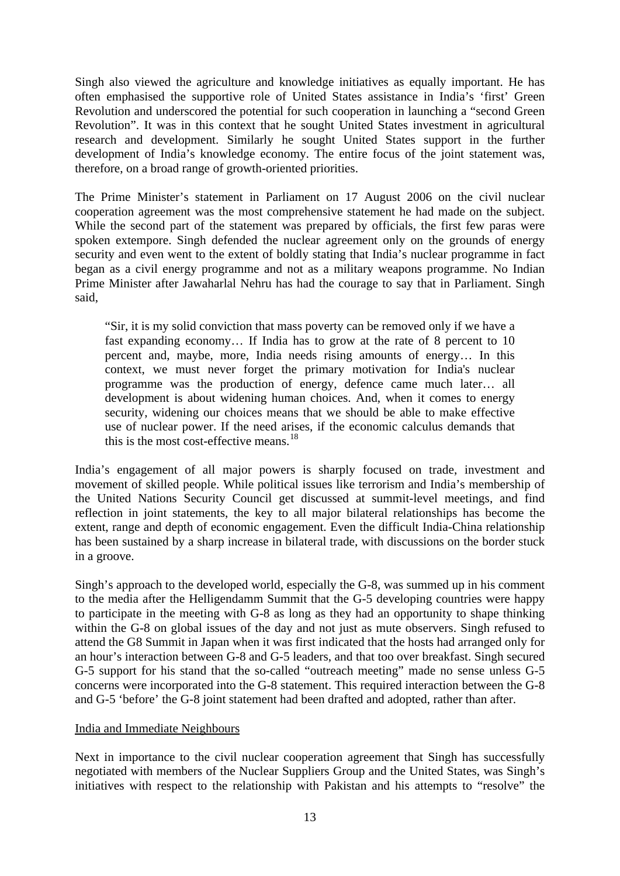Singh also viewed the agriculture and knowledge initiatives as equally important. He has often emphasised the supportive role of United States assistance in India's 'first' Green Revolution and underscored the potential for such cooperation in launching a "second Green Revolution". It was in this context that he sought United States investment in agricultural research and development. Similarly he sought United States support in the further development of India's knowledge economy. The entire focus of the joint statement was, therefore, on a broad range of growth-oriented priorities.

The Prime Minister's statement in Parliament on 17 August 2006 on the civil nuclear cooperation agreement was the most comprehensive statement he had made on the subject. While the second part of the statement was prepared by officials, the first few paras were spoken extempore. Singh defended the nuclear agreement only on the grounds of energy security and even went to the extent of boldly stating that India's nuclear programme in fact began as a civil energy programme and not as a military weapons programme. No Indian Prime Minister after Jawaharlal Nehru has had the courage to say that in Parliament. Singh said,

"Sir, it is my solid conviction that mass poverty can be removed only if we have a fast expanding economy… If India has to grow at the rate of 8 percent to 10 percent and, maybe, more, India needs rising amounts of energy… In this context, we must never forget the primary motivation for India's nuclear programme was the production of energy, defence came much later… all development is about widening human choices. And, when it comes to energy security, widening our choices means that we should be able to make effective use of nuclear power. If the need arises, if the economic calculus demands that this is the most cost-effective means. $18$ 

India's engagement of all major powers is sharply focused on trade, investment and movement of skilled people. While political issues like terrorism and India's membership of the United Nations Security Council get discussed at summit-level meetings, and find reflection in joint statements, the key to all major bilateral relationships has become the extent, range and depth of economic engagement. Even the difficult India-China relationship has been sustained by a sharp increase in bilateral trade, with discussions on the border stuck in a groove.

Singh's approach to the developed world, especially the G-8, was summed up in his comment to the media after the Helligendamm Summit that the G-5 developing countries were happy to participate in the meeting with G-8 as long as they had an opportunity to shape thinking within the G-8 on global issues of the day and not just as mute observers. Singh refused to attend the G8 Summit in Japan when it was first indicated that the hosts had arranged only for an hour's interaction between G-8 and G-5 leaders, and that too over breakfast. Singh secured G-5 support for his stand that the so-called "outreach meeting" made no sense unless G-5 concerns were incorporated into the G-8 statement. This required interaction between the G-8 and G-5 'before' the G-8 joint statement had been drafted and adopted, rather than after.

#### India and Immediate Neighbours

Next in importance to the civil nuclear cooperation agreement that Singh has successfully negotiated with members of the Nuclear Suppliers Group and the United States, was Singh's initiatives with respect to the relationship with Pakistan and his attempts to "resolve" the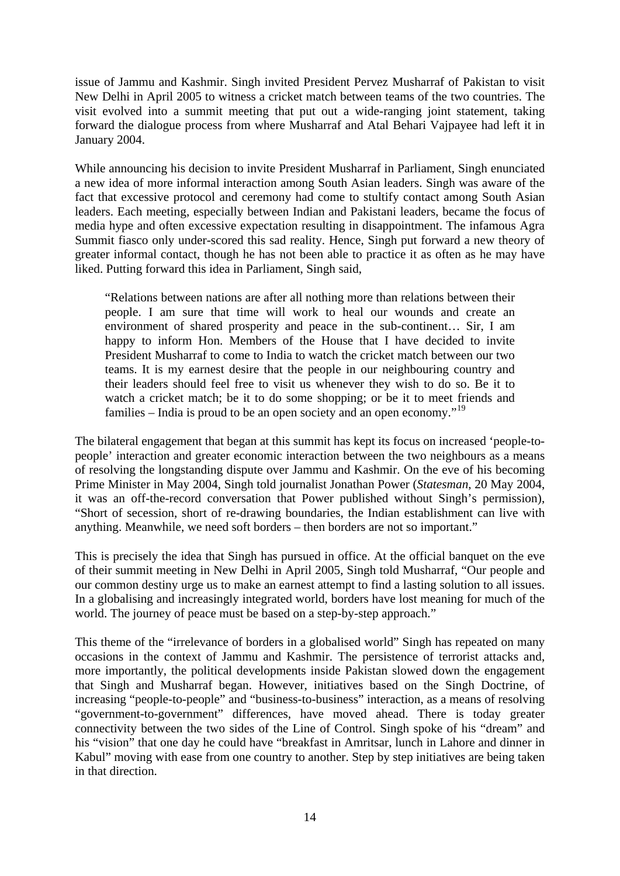issue of Jammu and Kashmir. Singh invited President Pervez Musharraf of Pakistan to visit New Delhi in April 2005 to witness a cricket match between teams of the two countries. The visit evolved into a summit meeting that put out a wide-ranging joint statement, taking forward the dialogue process from where Musharraf and Atal Behari Vajpayee had left it in January 2004.

While announcing his decision to invite President Musharraf in Parliament, Singh enunciated a new idea of more informal interaction among South Asian leaders. Singh was aware of the fact that excessive protocol and ceremony had come to stultify contact among South Asian leaders. Each meeting, especially between Indian and Pakistani leaders, became the focus of media hype and often excessive expectation resulting in disappointment. The infamous Agra Summit fiasco only under-scored this sad reality. Hence, Singh put forward a new theory of greater informal contact, though he has not been able to practice it as often as he may have liked. Putting forward this idea in Parliament, Singh said,

"Relations between nations are after all nothing more than relations between their people. I am sure that time will work to heal our wounds and create an environment of shared prosperity and peace in the sub-continent… Sir, I am happy to inform Hon. Members of the House that I have decided to invite President Musharraf to come to India to watch the cricket match between our two teams. It is my earnest desire that the people in our neighbouring country and their leaders should feel free to visit us whenever they wish to do so. Be it to watch a cricket match; be it to do some shopping; or be it to meet friends and families – India is proud to be an open society and an open economy."[19](#page-24-0)

The bilateral engagement that began at this summit has kept its focus on increased 'people-topeople' interaction and greater economic interaction between the two neighbours as a means of resolving the longstanding dispute over Jammu and Kashmir. On the eve of his becoming Prime Minister in May 2004, Singh told journalist Jonathan Power (*Statesman*, 20 May 2004, it was an off-the-record conversation that Power published without Singh's permission), "Short of secession, short of re-drawing boundaries, the Indian establishment can live with anything. Meanwhile, we need soft borders – then borders are not so important."

This is precisely the idea that Singh has pursued in office. At the official banquet on the eve of their summit meeting in New Delhi in April 2005, Singh told Musharraf, "Our people and our common destiny urge us to make an earnest attempt to find a lasting solution to all issues. In a globalising and increasingly integrated world, borders have lost meaning for much of the world. The journey of peace must be based on a step-by-step approach."

This theme of the "irrelevance of borders in a globalised world" Singh has repeated on many occasions in the context of Jammu and Kashmir. The persistence of terrorist attacks and, more importantly, the political developments inside Pakistan slowed down the engagement that Singh and Musharraf began. However, initiatives based on the Singh Doctrine, of increasing "people-to-people" and "business-to-business" interaction, as a means of resolving "government-to-government" differences, have moved ahead. There is today greater connectivity between the two sides of the Line of Control. Singh spoke of his "dream" and his "vision" that one day he could have "breakfast in Amritsar, lunch in Lahore and dinner in Kabul" moving with ease from one country to another. Step by step initiatives are being taken in that direction.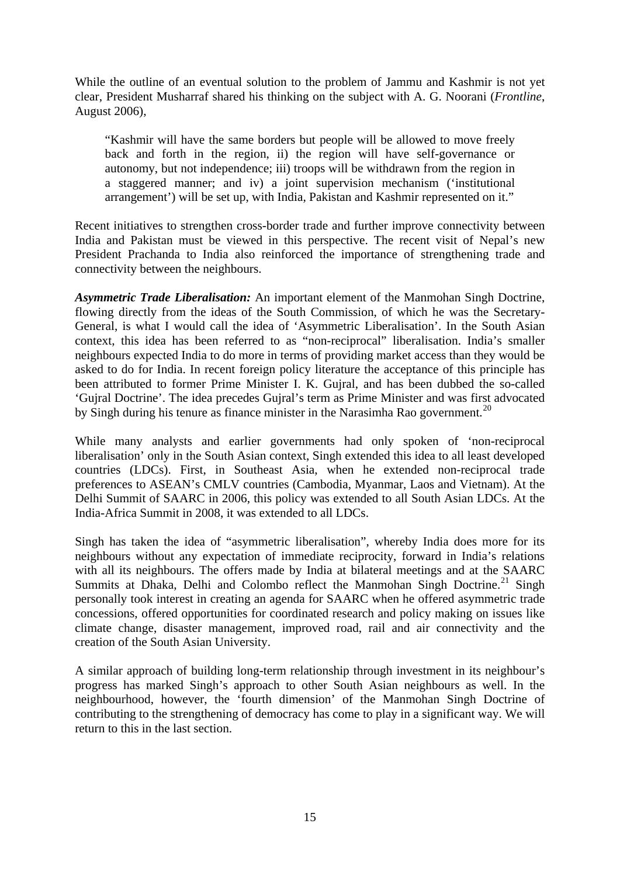While the outline of an eventual solution to the problem of Jammu and Kashmir is not yet clear, President Musharraf shared his thinking on the subject with A. G. Noorani (*Frontline*, August 2006),

"Kashmir will have the same borders but people will be allowed to move freely back and forth in the region, ii) the region will have self-governance or autonomy, but not independence; iii) troops will be withdrawn from the region in a staggered manner; and iv) a joint supervision mechanism ('institutional arrangement') will be set up, with India, Pakistan and Kashmir represented on it."

Recent initiatives to strengthen cross-border trade and further improve connectivity between India and Pakistan must be viewed in this perspective. The recent visit of Nepal's new President Prachanda to India also reinforced the importance of strengthening trade and connectivity between the neighbours.

*Asymmetric Trade Liberalisation:* An important element of the Manmohan Singh Doctrine, flowing directly from the ideas of the South Commission, of which he was the Secretary-General, is what I would call the idea of 'Asymmetric Liberalisation'. In the South Asian context, this idea has been referred to as "non-reciprocal" liberalisation. India's smaller neighbours expected India to do more in terms of providing market access than they would be asked to do for India. In recent foreign policy literature the acceptance of this principle has been attributed to former Prime Minister I. K. Guiral, and has been dubbed the so-called 'Gujral Doctrine'. The idea precedes Gujral's term as Prime Minister and was first advocated by Singh during his tenure as finance minister in the Narasimha Rao government.<sup>[20](#page-24-0)</sup>

While many analysts and earlier governments had only spoken of 'non-reciprocal liberalisation' only in the South Asian context, Singh extended this idea to all least developed countries (LDCs). First, in Southeast Asia, when he extended non-reciprocal trade preferences to ASEAN's CMLV countries (Cambodia, Myanmar, Laos and Vietnam). At the Delhi Summit of SAARC in 2006, this policy was extended to all South Asian LDCs. At the India-Africa Summit in 2008, it was extended to all LDCs.

Singh has taken the idea of "asymmetric liberalisation", whereby India does more for its neighbours without any expectation of immediate reciprocity, forward in India's relations with all its neighbours. The offers made by India at bilateral meetings and at the SAARC Summits at Dhaka, Delhi and Colombo reflect the Manmohan Singh Doctrine.<sup>[21](#page-24-0)</sup> Singh personally took interest in creating an agenda for SAARC when he offered asymmetric trade concessions, offered opportunities for coordinated research and policy making on issues like climate change, disaster management, improved road, rail and air connectivity and the creation of the South Asian University.

A similar approach of building long-term relationship through investment in its neighbour's progress has marked Singh's approach to other South Asian neighbours as well. In the neighbourhood, however, the 'fourth dimension' of the Manmohan Singh Doctrine of contributing to the strengthening of democracy has come to play in a significant way. We will return to this in the last section.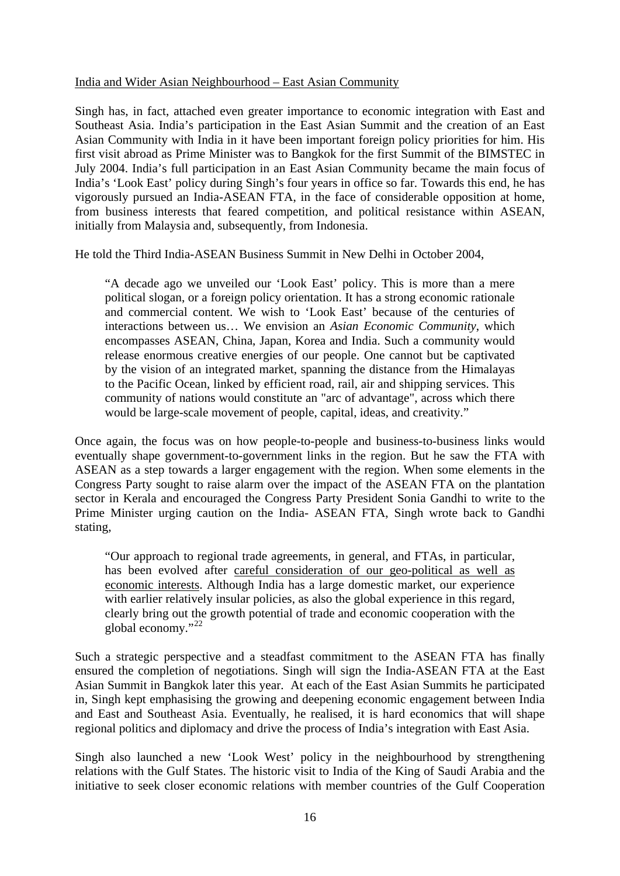#### India and Wider Asian Neighbourhood – East Asian Community

Singh has, in fact, attached even greater importance to economic integration with East and Southeast Asia. India's participation in the East Asian Summit and the creation of an East Asian Community with India in it have been important foreign policy priorities for him. His first visit abroad as Prime Minister was to Bangkok for the first Summit of the BIMSTEC in July 2004. India's full participation in an East Asian Community became the main focus of India's 'Look East' policy during Singh's four years in office so far. Towards this end, he has vigorously pursued an India-ASEAN FTA, in the face of considerable opposition at home, from business interests that feared competition, and political resistance within ASEAN, initially from Malaysia and, subsequently, from Indonesia.

He told the Third India-ASEAN Business Summit in New Delhi in October 2004,

"A decade ago we unveiled our 'Look East' policy. This is more than a mere political slogan, or a foreign policy orientation. It has a strong economic rationale and commercial content. We wish to 'Look East' because of the centuries of interactions between us… We envision an *Asian Economic Community*, which encompasses ASEAN, China, Japan, Korea and India. Such a community would release enormous creative energies of our people. One cannot but be captivated by the vision of an integrated market, spanning the distance from the Himalayas to the Pacific Ocean, linked by efficient road, rail, air and shipping services. This community of nations would constitute an "arc of advantage", across which there would be large-scale movement of people, capital, ideas, and creativity."

Once again, the focus was on how people-to-people and business-to-business links would eventually shape government-to-government links in the region. But he saw the FTA with ASEAN as a step towards a larger engagement with the region. When some elements in the Congress Party sought to raise alarm over the impact of the ASEAN FTA on the plantation sector in Kerala and encouraged the Congress Party President Sonia Gandhi to write to the Prime Minister urging caution on the India- ASEAN FTA, Singh wrote back to Gandhi stating,

"Our approach to regional trade agreements, in general, and FTAs, in particular, has been evolved after careful consideration of our geo-political as well as economic interests. Although India has a large domestic market, our experience with earlier relatively insular policies, as also the global experience in this regard, clearly bring out the growth potential of trade and economic cooperation with the global economy."<sup>[22](#page-24-0)</sup>

Such a strategic perspective and a steadfast commitment to the ASEAN FTA has finally ensured the completion of negotiations. Singh will sign the India-ASEAN FTA at the East Asian Summit in Bangkok later this year. At each of the East Asian Summits he participated in, Singh kept emphasising the growing and deepening economic engagement between India and East and Southeast Asia. Eventually, he realised, it is hard economics that will shape regional politics and diplomacy and drive the process of India's integration with East Asia.

Singh also launched a new 'Look West' policy in the neighbourhood by strengthening relations with the Gulf States. The historic visit to India of the King of Saudi Arabia and the initiative to seek closer economic relations with member countries of the Gulf Cooperation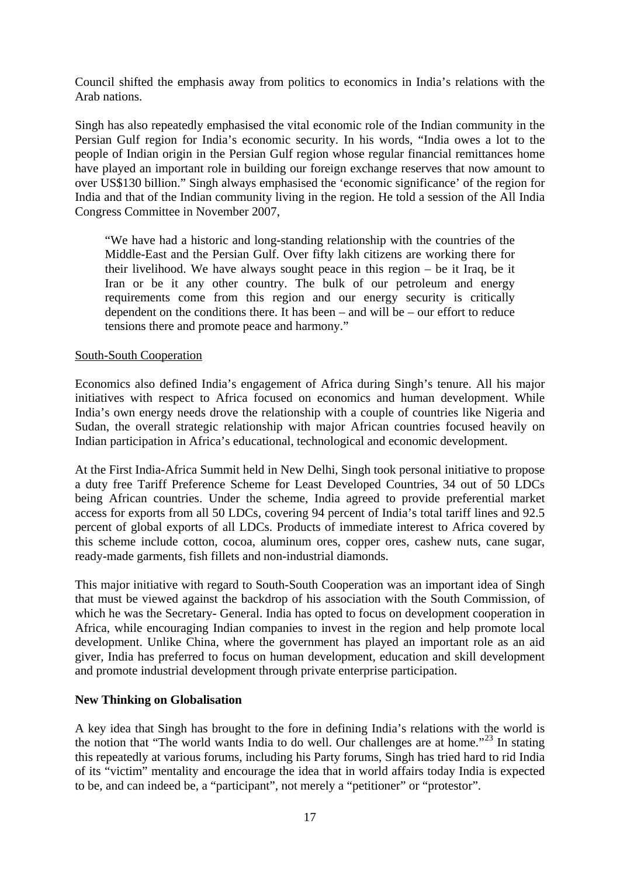Council shifted the emphasis away from politics to economics in India's relations with the Arab nations.

Singh has also repeatedly emphasised the vital economic role of the Indian community in the Persian Gulf region for India's economic security. In his words, "India owes a lot to the people of Indian origin in the Persian Gulf region whose regular financial remittances home have played an important role in building our foreign exchange reserves that now amount to over US\$130 billion." Singh always emphasised the 'economic significance' of the region for India and that of the Indian community living in the region. He told a session of the All India Congress Committee in November 2007,

"We have had a historic and long-standing relationship with the countries of the Middle-East and the Persian Gulf. Over fifty lakh citizens are working there for their livelihood. We have always sought peace in this region – be it Iraq, be it Iran or be it any other country. The bulk of our petroleum and energy requirements come from this region and our energy security is critically dependent on the conditions there. It has been – and will be – our effort to reduce tensions there and promote peace and harmony."

#### South-South Cooperation

Economics also defined India's engagement of Africa during Singh's tenure. All his major initiatives with respect to Africa focused on economics and human development. While India's own energy needs drove the relationship with a couple of countries like Nigeria and Sudan, the overall strategic relationship with major African countries focused heavily on Indian participation in Africa's educational, technological and economic development.

At the First India-Africa Summit held in New Delhi, Singh took personal initiative to propose a duty free Tariff Preference Scheme for Least Developed Countries, 34 out of 50 LDCs being African countries. Under the scheme, India agreed to provide preferential market access for exports from all 50 LDCs, covering 94 percent of India's total tariff lines and 92.5 percent of global exports of all LDCs. Products of immediate interest to Africa covered by this scheme include cotton, cocoa, aluminum ores, copper ores, cashew nuts, cane sugar, ready-made garments, fish fillets and non-industrial diamonds.

This major initiative with regard to South-South Cooperation was an important idea of Singh that must be viewed against the backdrop of his association with the South Commission, of which he was the Secretary- General. India has opted to focus on development cooperation in Africa, while encouraging Indian companies to invest in the region and help promote local development. Unlike China, where the government has played an important role as an aid giver, India has preferred to focus on human development, education and skill development and promote industrial development through private enterprise participation.

### **New Thinking on Globalisation**

A key idea that Singh has brought to the fore in defining India's relations with the world is the notion that "The world wants India to do well. Our challenges are at home."<sup>23</sup> In stating this repeatedly at various forums, including his Party forums, Singh has tried hard to rid India of its "victim" mentality and encourage the idea that in world affairs today India is expected to be, and can indeed be, a "participant", not merely a "petitioner" or "protestor".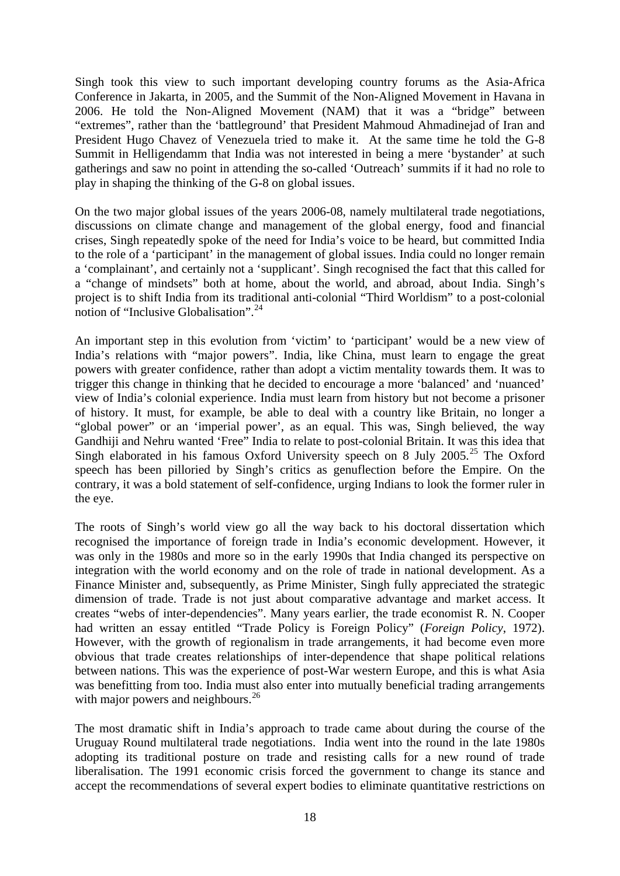Singh took this view to such important developing country forums as the Asia-Africa Conference in Jakarta, in 2005, and the Summit of the Non-Aligned Movement in Havana in 2006. He told the Non-Aligned Movement (NAM) that it was a "bridge" between "extremes", rather than the 'battleground' that President Mahmoud Ahmadinejad of Iran and President Hugo Chavez of Venezuela tried to make it. At the same time he told the G-8 Summit in Helligendamm that India was not interested in being a mere 'bystander' at such gatherings and saw no point in attending the so-called 'Outreach' summits if it had no role to play in shaping the thinking of the G-8 on global issues.

On the two major global issues of the years 2006-08, namely multilateral trade negotiations, discussions on climate change and management of the global energy, food and financial crises, Singh repeatedly spoke of the need for India's voice to be heard, but committed India to the role of a 'participant' in the management of global issues. India could no longer remain a 'complainant', and certainly not a 'supplicant'. Singh recognised the fact that this called for a "change of mindsets" both at home, about the world, and abroad, about India. Singh's project is to shift India from its traditional anti-colonial "Third Worldism" to a post-colonial notion of "Inclusive Globalisation".[24](#page-24-0)

An important step in this evolution from 'victim' to 'participant' would be a new view of India's relations with "major powers". India, like China, must learn to engage the great powers with greater confidence, rather than adopt a victim mentality towards them. It was to trigger this change in thinking that he decided to encourage a more 'balanced' and 'nuanced' view of India's colonial experience. India must learn from history but not become a prisoner of history. It must, for example, be able to deal with a country like Britain, no longer a "global power" or an 'imperial power', as an equal. This was, Singh believed, the way Gandhiji and Nehru wanted 'Free" India to relate to post-colonial Britain. It was this idea that Singh elaborated in his famous Oxford University speech on 8 July  $2005.<sup>25</sup>$  $2005.<sup>25</sup>$  $2005.<sup>25</sup>$  The Oxford speech has been pilloried by Singh's critics as genuflection before the Empire. On the contrary, it was a bold statement of self-confidence, urging Indians to look the former ruler in the eye.

The roots of Singh's world view go all the way back to his doctoral dissertation which recognised the importance of foreign trade in India's economic development. However, it was only in the 1980s and more so in the early 1990s that India changed its perspective on integration with the world economy and on the role of trade in national development. As a Finance Minister and, subsequently, as Prime Minister, Singh fully appreciated the strategic dimension of trade. Trade is not just about comparative advantage and market access. It creates "webs of inter-dependencies". Many years earlier, the trade economist R. N. Cooper had written an essay entitled "Trade Policy is Foreign Policy" (*Foreign Policy*, 1972). However, with the growth of regionalism in trade arrangements, it had become even more obvious that trade creates relationships of inter-dependence that shape political relations between nations. This was the experience of post-War western Europe, and this is what Asia was benefitting from too. India must also enter into mutually beneficial trading arrangements with major powers and neighbours.<sup>[26](#page-24-0)</sup>

The most dramatic shift in India's approach to trade came about during the course of the Uruguay Round multilateral trade negotiations. India went into the round in the late 1980s adopting its traditional posture on trade and resisting calls for a new round of trade liberalisation. The 1991 economic crisis forced the government to change its stance and accept the recommendations of several expert bodies to eliminate quantitative restrictions on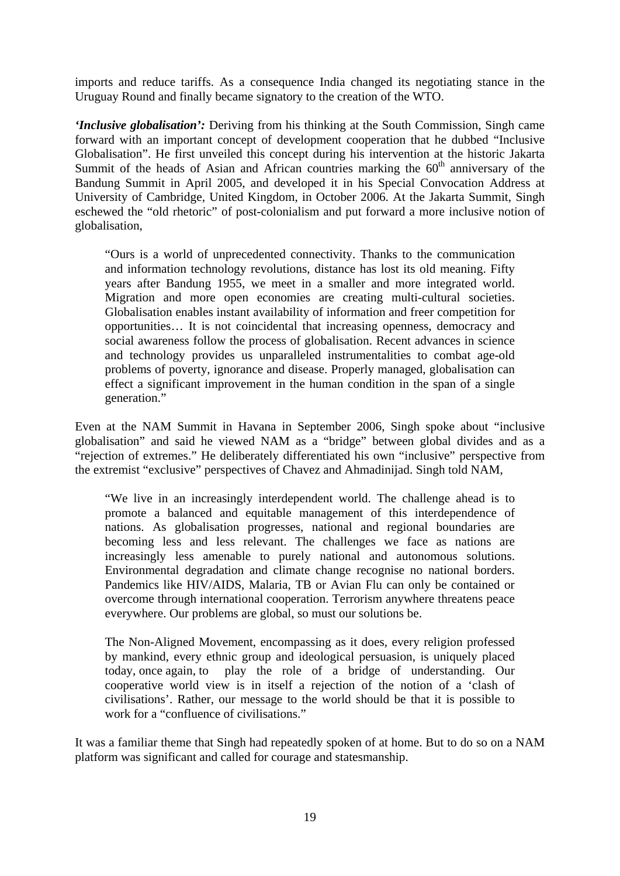imports and reduce tariffs. As a consequence India changed its negotiating stance in the Uruguay Round and finally became signatory to the creation of the WTO.

*'Inclusive globalisation':* Deriving from his thinking at the South Commission, Singh came forward with an important concept of development cooperation that he dubbed "Inclusive Globalisation". He first unveiled this concept during his intervention at the historic Jakarta Summit of the heads of Asian and African countries marking the  $60<sup>th</sup>$  anniversary of the Bandung Summit in April 2005, and developed it in his Special Convocation Address at University of Cambridge, United Kingdom, in October 2006. At the Jakarta Summit, Singh eschewed the "old rhetoric" of post-colonialism and put forward a more inclusive notion of globalisation,

"Ours is a world of unprecedented connectivity. Thanks to the communication and information technology revolutions, distance has lost its old meaning. Fifty years after Bandung 1955, we meet in a smaller and more integrated world. Migration and more open economies are creating multi-cultural societies. Globalisation enables instant availability of information and freer competition for opportunities… It is not coincidental that increasing openness, democracy and social awareness follow the process of globalisation. Recent advances in science and technology provides us unparalleled instrumentalities to combat age-old problems of poverty, ignorance and disease. Properly managed, globalisation can effect a significant improvement in the human condition in the span of a single generation."

Even at the NAM Summit in Havana in September 2006, Singh spoke about "inclusive globalisation" and said he viewed NAM as a "bridge" between global divides and as a "rejection of extremes." He deliberately differentiated his own "inclusive" perspective from the extremist "exclusive" perspectives of Chavez and Ahmadinijad. Singh told NAM,

"We live in an increasingly interdependent world. The challenge ahead is to promote a balanced and equitable management of this interdependence of nations. As globalisation progresses, national and regional boundaries are becoming less and less relevant. The challenges we face as nations are increasingly less amenable to purely national and autonomous solutions. Environmental degradation and climate change recognise no national borders. Pandemics like HIV/AIDS, Malaria, TB or Avian Flu can only be contained or overcome through international cooperation. Terrorism anywhere threatens peace everywhere. Our problems are global, so must our solutions be.

The Non-Aligned Movement, encompassing as it does, every religion professed by mankind, every ethnic group and ideological persuasion, is uniquely placed today, once again, to play the role of a bridge of understanding. Our cooperative world view is in itself a rejection of the notion of a 'clash of civilisations'. Rather, our message to the world should be that it is possible to work for a "confluence of civilisations."

It was a familiar theme that Singh had repeatedly spoken of at home. But to do so on a NAM platform was significant and called for courage and statesmanship.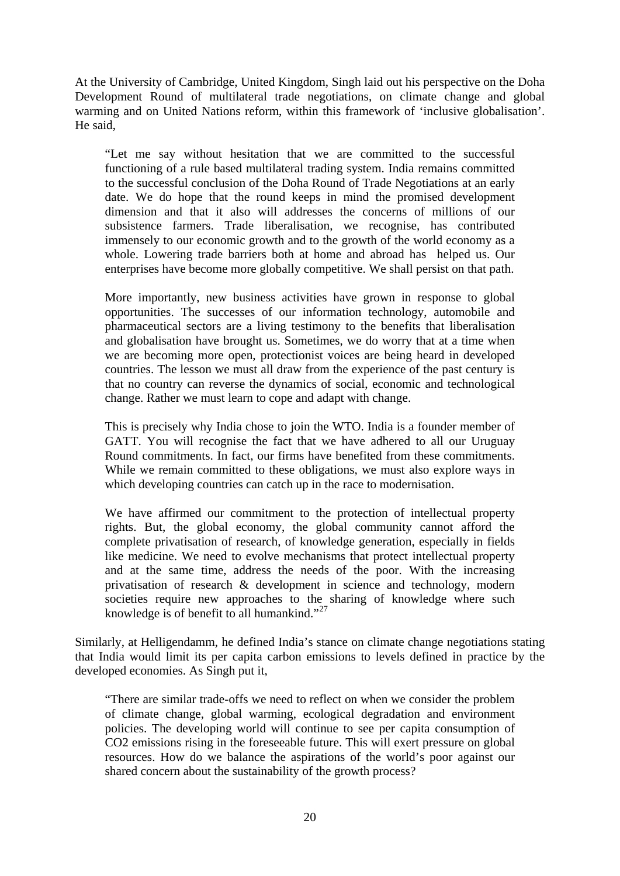At the University of Cambridge, United Kingdom, Singh laid out his perspective on the Doha Development Round of multilateral trade negotiations, on climate change and global warming and on United Nations reform, within this framework of 'inclusive globalisation'. He said,

"Let me say without hesitation that we are committed to the successful functioning of a rule based multilateral trading system. India remains committed to the successful conclusion of the Doha Round of Trade Negotiations at an early date. We do hope that the round keeps in mind the promised development dimension and that it also will addresses the concerns of millions of our subsistence farmers. Trade liberalisation, we recognise, has contributed immensely to our economic growth and to the growth of the world economy as a whole. Lowering trade barriers both at home and abroad has helped us. Our enterprises have become more globally competitive. We shall persist on that path.

More importantly, new business activities have grown in response to global opportunities. The successes of our information technology, automobile and pharmaceutical sectors are a living testimony to the benefits that liberalisation and globalisation have brought us. Sometimes, we do worry that at a time when we are becoming more open, protectionist voices are being heard in developed countries. The lesson we must all draw from the experience of the past century is that no country can reverse the dynamics of social, economic and technological change. Rather we must learn to cope and adapt with change.

This is precisely why India chose to join the WTO. India is a founder member of GATT. You will recognise the fact that we have adhered to all our Uruguay Round commitments. In fact, our firms have benefited from these commitments. While we remain committed to these obligations, we must also explore ways in which developing countries can catch up in the race to modernisation.

We have affirmed our commitment to the protection of intellectual property rights. But, the global economy, the global community cannot afford the complete privatisation of research, of knowledge generation, especially in fields like medicine. We need to evolve mechanisms that protect intellectual property and at the same time, address the needs of the poor. With the increasing privatisation of research & development in science and technology, modern societies require new approaches to the sharing of knowledge where such knowledge is of benefit to all humankind."<sup>[27](#page-24-0)</sup>

Similarly, at Helligendamm, he defined India's stance on climate change negotiations stating that India would limit its per capita carbon emissions to levels defined in practice by the developed economies. As Singh put it,

"There are similar trade-offs we need to reflect on when we consider the problem of climate change, global warming, ecological degradation and environment policies. The developing world will continue to see per capita consumption of CO2 emissions rising in the foreseeable future. This will exert pressure on global resources. How do we balance the aspirations of the world's poor against our shared concern about the sustainability of the growth process?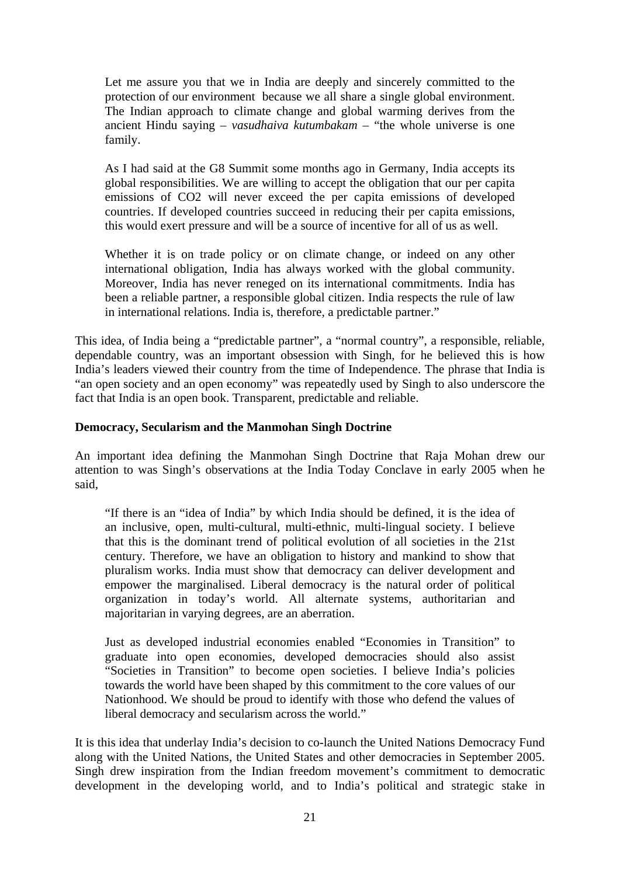Let me assure you that we in India are deeply and sincerely committed to the protection of our environment because we all share a single global environment. The Indian approach to climate change and global warming derives from the ancient Hindu saying – *vasudhaiva kutumbakam* – "the whole universe is one family.

As I had said at the G8 Summit some months ago in Germany, India accepts its global responsibilities. We are willing to accept the obligation that our per capita emissions of CO2 will never exceed the per capita emissions of developed countries. If developed countries succeed in reducing their per capita emissions, this would exert pressure and will be a source of incentive for all of us as well.

Whether it is on trade policy or on climate change, or indeed on any other international obligation, India has always worked with the global community. Moreover, India has never reneged on its international commitments. India has been a reliable partner, a responsible global citizen. India respects the rule of law in international relations. India is, therefore, a predictable partner."

This idea, of India being a "predictable partner", a "normal country", a responsible, reliable, dependable country, was an important obsession with Singh, for he believed this is how India's leaders viewed their country from the time of Independence. The phrase that India is "an open society and an open economy" was repeatedly used by Singh to also underscore the fact that India is an open book. Transparent, predictable and reliable.

## **Democracy, Secularism and the Manmohan Singh Doctrine**

An important idea defining the Manmohan Singh Doctrine that Raja Mohan drew our attention to was Singh's observations at the India Today Conclave in early 2005 when he said,

"If there is an "idea of India" by which India should be defined, it is the idea of an inclusive, open, multi-cultural, multi-ethnic, multi-lingual society. I believe that this is the dominant trend of political evolution of all societies in the 21st century. Therefore, we have an obligation to history and mankind to show that pluralism works. India must show that democracy can deliver development and empower the marginalised. Liberal democracy is the natural order of political organization in today's world. All alternate systems, authoritarian and majoritarian in varying degrees, are an aberration.

Just as developed industrial economies enabled "Economies in Transition" to graduate into open economies, developed democracies should also assist "Societies in Transition" to become open societies. I believe India's policies towards the world have been shaped by this commitment to the core values of our Nationhood. We should be proud to identify with those who defend the values of liberal democracy and secularism across the world."

It is this idea that underlay India's decision to co-launch the United Nations Democracy Fund along with the United Nations, the United States and other democracies in September 2005. Singh drew inspiration from the Indian freedom movement's commitment to democratic development in the developing world, and to India's political and strategic stake in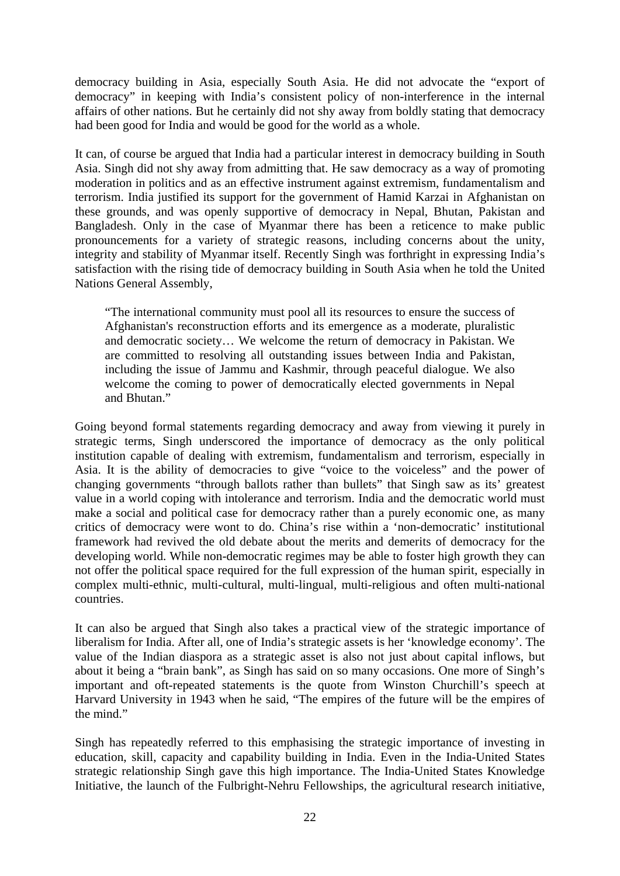democracy building in Asia, especially South Asia. He did not advocate the "export of democracy" in keeping with India's consistent policy of non-interference in the internal affairs of other nations. But he certainly did not shy away from boldly stating that democracy had been good for India and would be good for the world as a whole.

It can, of course be argued that India had a particular interest in democracy building in South Asia. Singh did not shy away from admitting that. He saw democracy as a way of promoting moderation in politics and as an effective instrument against extremism, fundamentalism and terrorism. India justified its support for the government of Hamid Karzai in Afghanistan on these grounds, and was openly supportive of democracy in Nepal, Bhutan, Pakistan and Bangladesh. Only in the case of Myanmar there has been a reticence to make public pronouncements for a variety of strategic reasons, including concerns about the unity, integrity and stability of Myanmar itself. Recently Singh was forthright in expressing India's satisfaction with the rising tide of democracy building in South Asia when he told the United Nations General Assembly,

"The international community must pool all its resources to ensure the success of Afghanistan's reconstruction efforts and its emergence as a moderate, pluralistic and democratic society… We welcome the return of democracy in Pakistan. We are committed to resolving all outstanding issues between India and Pakistan, including the issue of Jammu and Kashmir, through peaceful dialogue. We also welcome the coming to power of democratically elected governments in Nepal and Bhutan."

Going beyond formal statements regarding democracy and away from viewing it purely in strategic terms, Singh underscored the importance of democracy as the only political institution capable of dealing with extremism, fundamentalism and terrorism, especially in Asia. It is the ability of democracies to give "voice to the voiceless" and the power of changing governments "through ballots rather than bullets" that Singh saw as its' greatest value in a world coping with intolerance and terrorism. India and the democratic world must make a social and political case for democracy rather than a purely economic one, as many critics of democracy were wont to do. China's rise within a 'non-democratic' institutional framework had revived the old debate about the merits and demerits of democracy for the developing world. While non-democratic regimes may be able to foster high growth they can not offer the political space required for the full expression of the human spirit, especially in complex multi-ethnic, multi-cultural, multi-lingual, multi-religious and often multi-national countries.

It can also be argued that Singh also takes a practical view of the strategic importance of liberalism for India. After all, one of India's strategic assets is her 'knowledge economy'. The value of the Indian diaspora as a strategic asset is also not just about capital inflows, but about it being a "brain bank", as Singh has said on so many occasions. One more of Singh's important and oft-repeated statements is the quote from Winston Churchill's speech at Harvard University in 1943 when he said, "The empires of the future will be the empires of the mind."

Singh has repeatedly referred to this emphasising the strategic importance of investing in education, skill, capacity and capability building in India. Even in the India-United States strategic relationship Singh gave this high importance. The India-United States Knowledge Initiative, the launch of the Fulbright-Nehru Fellowships, the agricultural research initiative,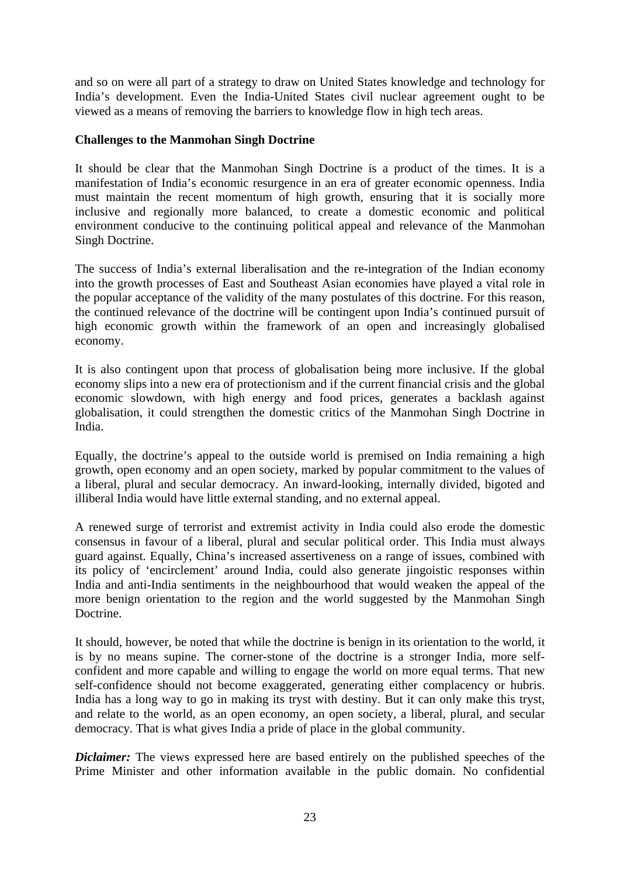and so on were all part of a strategy to draw on United States knowledge and technology for India's development. Even the India-United States civil nuclear agreement ought to be viewed as a means of removing the barriers to knowledge flow in high tech areas.

### **Challenges to the Manmohan Singh Doctrine**

It should be clear that the Manmohan Singh Doctrine is a product of the times. It is a manifestation of India's economic resurgence in an era of greater economic openness. India must maintain the recent momentum of high growth, ensuring that it is socially more inclusive and regionally more balanced, to create a domestic economic and political environment conducive to the continuing political appeal and relevance of the Manmohan Singh Doctrine.

The success of India's external liberalisation and the re-integration of the Indian economy into the growth processes of East and Southeast Asian economies have played a vital role in the popular acceptance of the validity of the many postulates of this doctrine. For this reason, the continued relevance of the doctrine will be contingent upon India's continued pursuit of high economic growth within the framework of an open and increasingly globalised economy.

It is also contingent upon that process of globalisation being more inclusive. If the global economy slips into a new era of protectionism and if the current financial crisis and the global economic slowdown, with high energy and food prices, generates a backlash against globalisation, it could strengthen the domestic critics of the Manmohan Singh Doctrine in India.

Equally, the doctrine's appeal to the outside world is premised on India remaining a high growth, open economy and an open society, marked by popular commitment to the values of a liberal, plural and secular democracy. An inward-looking, internally divided, bigoted and illiberal India would have little external standing, and no external appeal.

A renewed surge of terrorist and extremist activity in India could also erode the domestic consensus in favour of a liberal, plural and secular political order. This India must always guard against. Equally, China's increased assertiveness on a range of issues, combined with its policy of 'encirclement' around India, could also generate jingoistic responses within India and anti-India sentiments in the neighbourhood that would weaken the appeal of the more benign orientation to the region and the world suggested by the Manmohan Singh Doctrine.

It should, however, be noted that while the doctrine is benign in its orientation to the world, it is by no means supine. The corner-stone of the doctrine is a stronger India, more selfconfident and more capable and willing to engage the world on more equal terms. That new self-confidence should not become exaggerated, generating either complacency or hubris. India has a long way to go in making its tryst with destiny. But it can only make this tryst, and relate to the world, as an open economy, an open society, a liberal, plural, and secular democracy. That is what gives India a pride of place in the global community.

*Diclaimer*: The views expressed here are based entirely on the published speeches of the Prime Minister and other information available in the public domain. No confidential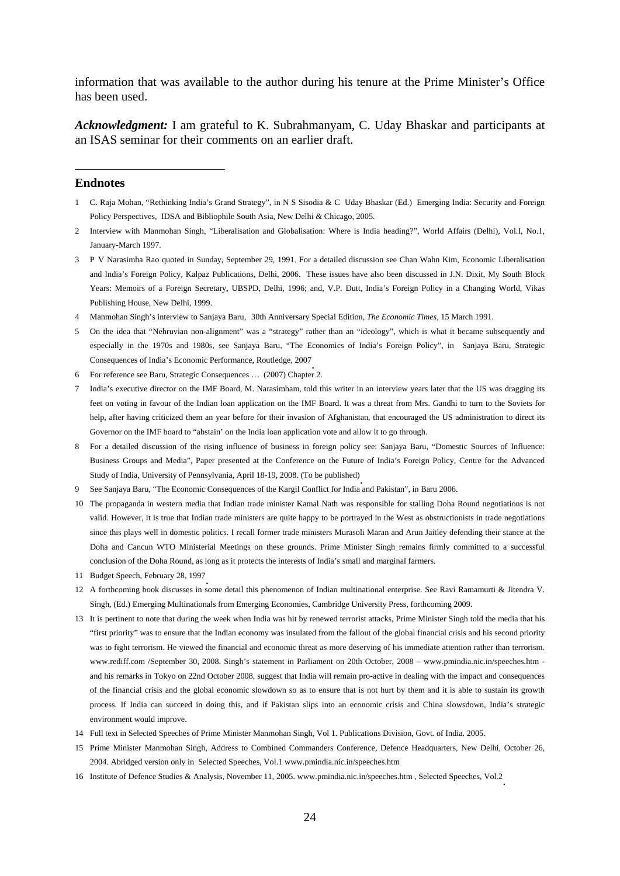<span id="page-23-1"></span>information that was available to the author during his tenure at the Prime Minister's Office has been used.

*Acknowledgment:* I am grateful to K. Subrahmanyam, C. Uday Bhaskar and participants at an ISAS seminar for their comments on an earlier draft.

#### <span id="page-23-0"></span>**Endnotes**

1

- 1 C. Raja Mohan, "Rethinking India's Grand Strategy", in N S Sisodia & C Uday Bhaskar (Ed.) Emerging India: Security and Foreign Policy Perspectives, IDSA and Bibliophile South Asia, New Delhi & Chicago, 2005.
- 2 Interview with Manmohan Singh, "Liberalisation and Globalisation: Where is India heading?", World Affairs (Delhi), Vol.I, No.1, January-March 1997.
- 3 P V Narasimha Rao quoted in Sunday, September 29, 1991. For a detailed discussion see Chan Wahn Kim, Economic Liberalisation and India's Foreign Policy, Kalpaz Publications, Delhi, 2006. These issues have also been discussed in J.N. Dixit, My South Block Years: Memoirs of a Foreign Secretary, UBSPD, Delhi, 1996; and, V.P. Dutt, India's Foreign Policy in a Changing World, Vikas Publishing House, New Delhi, 1999.
- 4 Manmohan Singh's interview to Sanjaya Baru, 30th Anniversary Special Edition, *The Economic Times*, 15 March 1991.
- 5 On the idea that "Nehruvian non-alignment" was a "strategy" rather than an "ideology", which is what it became subsequently and especially in the 1970s and 1980s, see Sanjaya Baru, "The Economics of India's Foreign Policy", in Sanjaya Baru, Strategic Consequences of India's Economic Performance, Routledge, 2007.<br>6 For reference see Baru, Strategic Consequences ... (2007) Chapter 2.
- 
- 7 India's executive director on the IMF Board, M. Narasimham, told this writer in an interview years later that the US was dragging its feet on voting in favour of the Indian loan application on the IMF Board. It was a threat from Mrs. Gandhi to turn to the Soviets for help, after having criticized them an year before for their invasion of Afghanistan, that encouraged the US administration to direct its Governor on the IMF board to "abstain' on the India loan application vote and allow it to go through.
- 8 For a detailed discussion of the rising influence of business in foreign policy see: Sanjaya Baru, "Domestic Sources of Influence: Business Groups and Media", Paper presented at the Conference on the Future of India's Foreign Policy, Centre for the Advanced Study of India, University of Pennsylvania, April 18-19, 2008. (To be published).<br>9 See Sanjaya Baru, "The Economic Consequences of the Kargil Conflict for India and Pakistan", in Baru 2006.
- 
- 10 The propaganda in western media that Indian trade minister Kamal Nath was responsible for stalling Doha Round negotiations is not valid. However, it is true that Indian trade ministers are quite happy to be portrayed in the West as obstructionists in trade negotiations since this plays well in domestic politics. I recall former trade ministers Murasoli Maran and Arun Jaitley defending their stance at the Doha and Cancun WTO Ministerial Meetings on these grounds. Prime Minister Singh remains firmly committed to a successful conclusion of the Doha Round, as long as it protects the interests of India's small and marginal farmers.
- 
- 11 Budget Speech, February 28, 1997.<br>12 A forthcoming book discusses in some detail this phenomenon of Indian multinational enterprise. See Ravi Ramamurti & Jitendra V. Singh, (Ed.) Emerging Multinationals from Emerging Economies, Cambridge University Press, forthcoming 2009.
- 13 It is pertinent to note that during the week when India was hit by renewed terrorist attacks, Prime Minister Singh told the media that his "first priority" was to ensure that the Indian economy was insulated from the fallout of the global financial crisis and his second priority was to fight terrorism. He viewed the financial and economic threat as more deserving of his immediate attention rather than terrorism. www.rediff.com /September 30, 2008. Singh's statement in Parliament on 20th October, 2008 – www.pmindia.nic.in/speeches.htm and his remarks in Tokyo on 22nd October 2008, suggest that India will remain pro-active in dealing with the impact and consequences of the financial crisis and the global economic slowdown so as to ensure that is not hurt by them and it is able to sustain its growth process. If India can succeed in doing this, and if Pakistan slips into an economic crisis and China slowsdown, India's strategic environment would improve.
- 14 Full text in Selected Speeches of Prime Minister Manmohan Singh, Vol 1. Publications Division, Govt. of India. 2005.
- 15 Prime Minister Manmohan Singh, Address to Combined Commanders Conference, Defence Headquarters, New Delhi, October 26, 2004. Abridged version only in Selected Speeches, Vol.1 www.pmindia.nic.in/speeches.htm
- 16 Institute of Defence Studies & Analysis, November 11, 2005. www.pmindia.nic.in/speeches.htm , Selected Speeches, Vol.2.